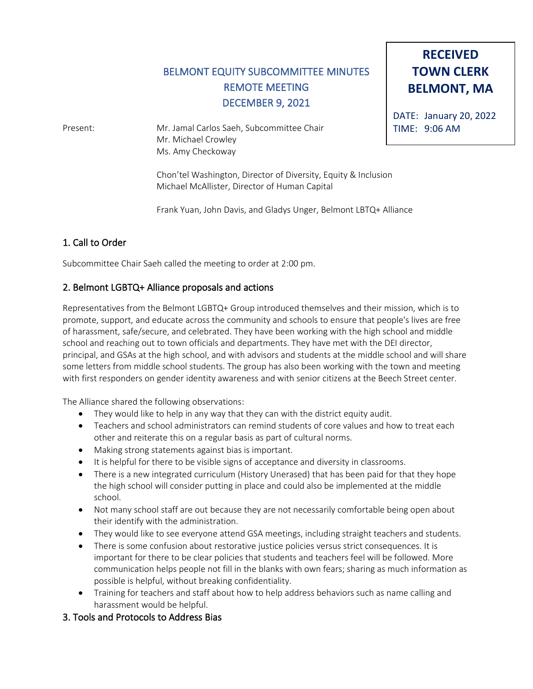# BELMONT EQUITY SUBCOMMITTEE MINUTES REMOTE MEETING DECEMBER 9, 2021

Present: Mr. Jamal Carlos Saeh, Subcommittee Chair Mr. Michael Crowley Ms. Amy Checkoway

> Chon'tel Washington, Director of Diversity, Equity & Inclusion Michael McAllister, Director of Human Capital

Frank Yuan, John Davis, and Gladys Unger, Belmont LBTQ+ Alliance

## 1. Call to Order

Subcommittee Chair Saeh called the meeting to order at 2:00 pm.

### 2. Belmont LGBTQ+ Alliance proposals and actions

Representatives from the Belmont LGBTQ+ Group introduced themselves and their mission, which is to promote, support, and educate across the community and schools to ensure that people's lives are free of harassment, safe/secure, and celebrated. They have been working with the high school and middle school and reaching out to town officials and departments. They have met with the DEI director, principal, and GSAs at the high school, and with advisors and students at the middle school and will share some letters from middle school students. The group has also been working with the town and meeting with first responders on gender identity awareness and with senior citizens at the Beech Street center.

The Alliance shared the following observations:

- They would like to help in any way that they can with the district equity audit.
- Teachers and school administrators can remind students of core values and how to treat each other and reiterate this on a regular basis as part of cultural norms.
- Making strong statements against bias is important.
- It is helpful for there to be visible signs of acceptance and diversity in classrooms.
- There is a new integrated curriculum (History Unerased) that has been paid for that they hope the high school will consider putting in place and could also be implemented at the middle school.
- Not many school staff are out because they are not necessarily comfortable being open about their identify with the administration.
- They would like to see everyone attend GSA meetings, including straight teachers and students.
- There is some confusion about restorative justice policies versus strict consequences. It is important for there to be clear policies that students and teachers feel will be followed. More communication helps people not fill in the blanks with own fears; sharing as much information as possible is helpful, without breaking confidentiality.
- Training for teachers and staff about how to help address behaviors such as name calling and harassment would be helpful.

#### 3. Tools and Protocols to Address Bias

**RECEIVED TOWN CLERK BELMONT, MA**

DATE: January 20, 2022 TIME: 9:06 AM